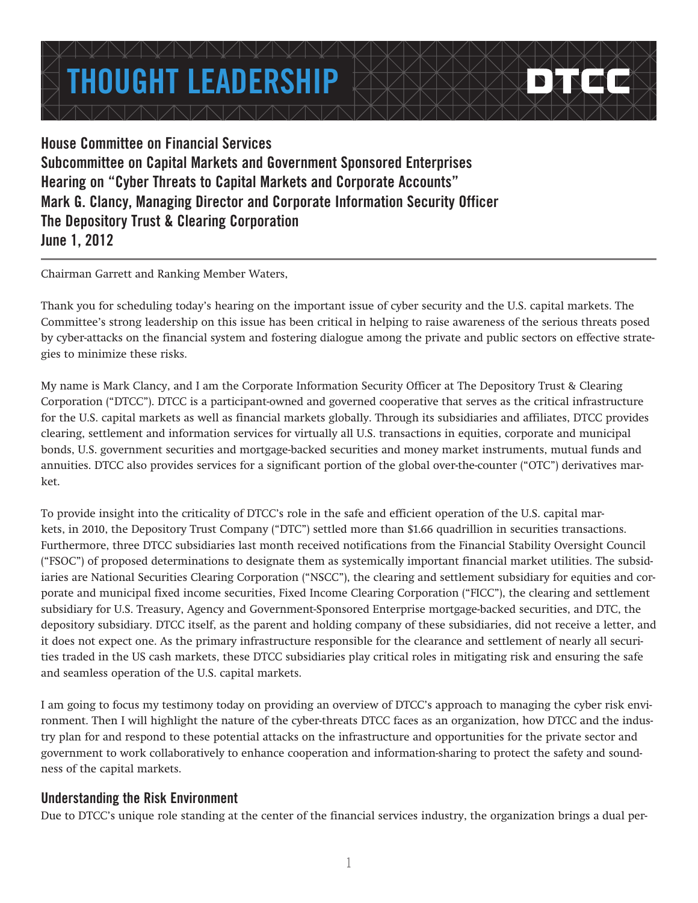# **THOUGHT LEADERSHIP**

**House Committee on Financial Services Subcommittee on Capital Markets and Government Sponsored Enterprises Hearing on "Cyber Threats to Capital Markets and Corporate Accounts" Mark G. Clancy, Managing Director and Corporate Information Security Officer The Depository Trust & Clearing Corporation June 1, 2012**

Chairman Garrett and Ranking Member Waters,

Thank you for scheduling today's hearing on the important issue of cyber security and the U.S. capital markets. The Committee's strong leadership on this issue has been critical in helping to raise awareness of the serious threats posed by cyber-attacks on the financial system and fostering dialogue among the private and public sectors on effective strategies to minimize these risks.

My name is Mark Clancy, and I am the Corporate Information Security Officer at The Depository Trust & Clearing Corporation ("DTCC"). DTCC is a participant-owned and governed cooperative that serves as the critical infrastructure for the U.S. capital markets as well as financial markets globally. Through its subsidiaries and affiliates, DTCC provides clearing, settlement and information services for virtually all U.S. transactions in equities, corporate and municipal bonds, U.S. government securities and mortgage-backed securities and money market instruments, mutual funds and annuities. DTCC also provides services for a significant portion of the global over-the-counter ("OTC") derivatives market.

To provide insight into the criticality of DTCC's role in the safe and efficient operation of the U.S. capital markets, in 2010, the Depository Trust Company ("DTC") settled more than \$1.66 quadrillion in securities transactions. Furthermore, three DTCC subsidiaries last month received notifications from the Financial Stability Oversight Council ("FSOC") of proposed determinations to designate them as systemically important financial market utilities. The subsidiaries are National Securities Clearing Corporation ("NSCC"), the clearing and settlement subsidiary for equities and corporate and municipal fixed income securities, Fixed Income Clearing Corporation ("FICC"), the clearing and settlement subsidiary for U.S. Treasury, Agency and Government-Sponsored Enterprise mortgage-backed securities, and DTC, the depository subsidiary. DTCC itself, as the parent and holding company of these subsidiaries, did not receive a letter, and it does not expect one. As the primary infrastructure responsible for the clearance and settlement of nearly all securities traded in the US cash markets, these DTCC subsidiaries play critical roles in mitigating risk and ensuring the safe and seamless operation of the U.S. capital markets.

I am going to focus my testimony today on providing an overview of DTCC's approach to managing the cyber risk environment. Then I will highlight the nature of the cyber-threats DTCC faces as an organization, how DTCC and the industry plan for and respond to these potential attacks on the infrastructure and opportunities for the private sector and government to work collaboratively to enhance cooperation and information-sharing to protect the safety and soundness of the capital markets.

## **Understanding the Risk Environment**

Due to DTCC's unique role standing at the center of the financial services industry, the organization brings a dual per-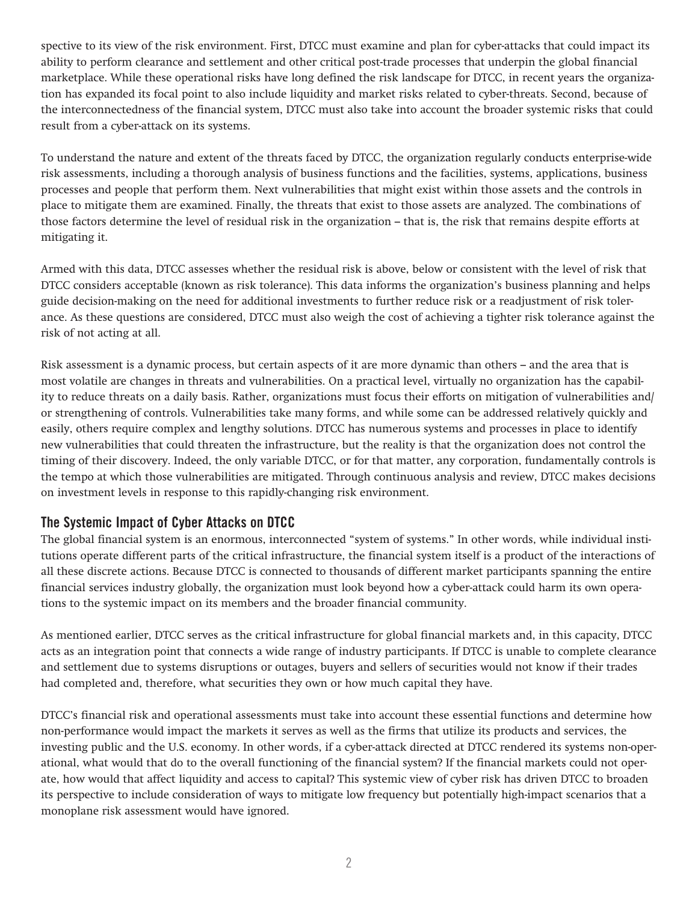spective to its view of the risk environment. First, DTCC must examine and plan for cyber-attacks that could impact its ability to perform clearance and settlement and other critical post-trade processes that underpin the global financial marketplace. While these operational risks have long defined the risk landscape for DTCC, in recent years the organization has expanded its focal point to also include liquidity and market risks related to cyber-threats. Second, because of the interconnectedness of the financial system, DTCC must also take into account the broader systemic risks that could result from a cyber-attack on its systems.

To understand the nature and extent of the threats faced by DTCC, the organization regularly conducts enterprise-wide risk assessments, including a thorough analysis of business functions and the facilities, systems, applications, business processes and people that perform them. Next vulnerabilities that might exist within those assets and the controls in place to mitigate them are examined. Finally, the threats that exist to those assets are analyzed. The combinations of those factors determine the level of residual risk in the organization – that is, the risk that remains despite efforts at mitigating it.

Armed with this data, DTCC assesses whether the residual risk is above, below or consistent with the level of risk that DTCC considers acceptable (known as risk tolerance). This data informs the organization's business planning and helps guide decision-making on the need for additional investments to further reduce risk or a readjustment of risk tolerance. As these questions are considered, DTCC must also weigh the cost of achieving a tighter risk tolerance against the risk of not acting at all.

Risk assessment is a dynamic process, but certain aspects of it are more dynamic than others – and the area that is most volatile are changes in threats and vulnerabilities. On a practical level, virtually no organization has the capability to reduce threats on a daily basis. Rather, organizations must focus their efforts on mitigation of vulnerabilities and/ or strengthening of controls. Vulnerabilities take many forms, and while some can be addressed relatively quickly and easily, others require complex and lengthy solutions. DTCC has numerous systems and processes in place to identify new vulnerabilities that could threaten the infrastructure, but the reality is that the organization does not control the timing of their discovery. Indeed, the only variable DTCC, or for that matter, any corporation, fundamentally controls is the tempo at which those vulnerabilities are mitigated. Through continuous analysis and review, DTCC makes decisions on investment levels in response to this rapidly-changing risk environment.

#### **The Systemic Impact of Cyber Attacks on DTCC**

The global financial system is an enormous, interconnected "system of systems." In other words, while individual institutions operate different parts of the critical infrastructure, the financial system itself is a product of the interactions of all these discrete actions. Because DTCC is connected to thousands of different market participants spanning the entire financial services industry globally, the organization must look beyond how a cyber-attack could harm its own operations to the systemic impact on its members and the broader financial community.

As mentioned earlier, DTCC serves as the critical infrastructure for global financial markets and, in this capacity, DTCC acts as an integration point that connects a wide range of industry participants. If DTCC is unable to complete clearance and settlement due to systems disruptions or outages, buyers and sellers of securities would not know if their trades had completed and, therefore, what securities they own or how much capital they have.

DTCC's financial risk and operational assessments must take into account these essential functions and determine how non-performance would impact the markets it serves as well as the firms that utilize its products and services, the investing public and the U.S. economy. In other words, if a cyber-attack directed at DTCC rendered its systems non-operational, what would that do to the overall functioning of the financial system? If the financial markets could not operate, how would that affect liquidity and access to capital? This systemic view of cyber risk has driven DTCC to broaden its perspective to include consideration of ways to mitigate low frequency but potentially high-impact scenarios that a monoplane risk assessment would have ignored.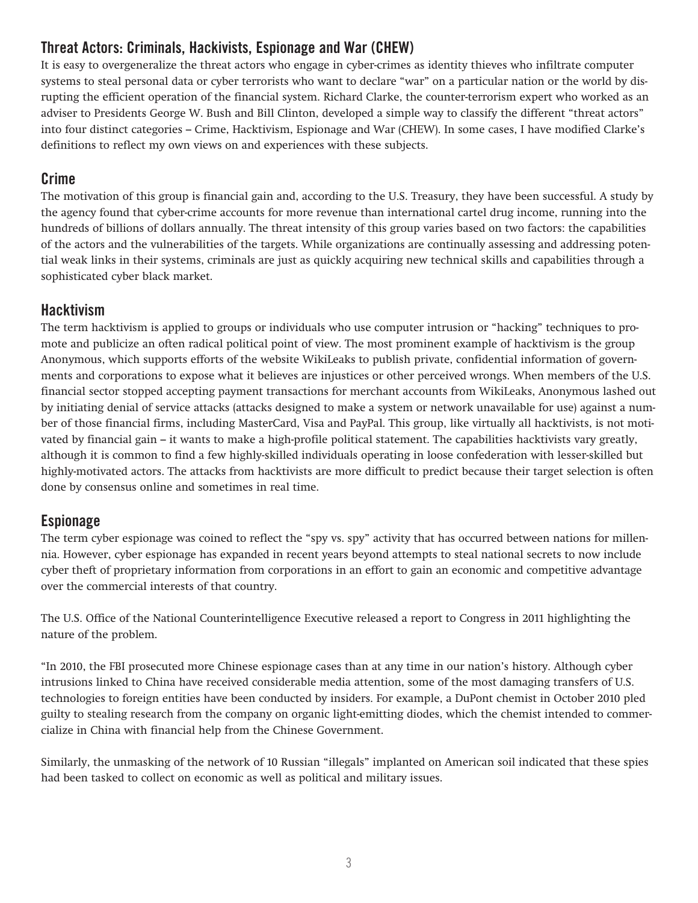# **Threat Actors: Criminals, Hackivists, Espionage and War (CHEW)**

It is easy to overgeneralize the threat actors who engage in cyber-crimes as identity thieves who infiltrate computer systems to steal personal data or cyber terrorists who want to declare "war" on a particular nation or the world by disrupting the efficient operation of the financial system. Richard Clarke, the counter-terrorism expert who worked as an adviser to Presidents George W. Bush and Bill Clinton, developed a simple way to classify the different "threat actors" into four distinct categories – Crime, Hacktivism, Espionage and War (CHEW). In some cases, I have modified Clarke's definitions to reflect my own views on and experiences with these subjects.

# **Crime**

The motivation of this group is financial gain and, according to the U.S. Treasury, they have been successful. A study by the agency found that cyber-crime accounts for more revenue than international cartel drug income, running into the hundreds of billions of dollars annually. The threat intensity of this group varies based on two factors: the capabilities of the actors and the vulnerabilities of the targets. While organizations are continually assessing and addressing potential weak links in their systems, criminals are just as quickly acquiring new technical skills and capabilities through a sophisticated cyber black market.

# **Hacktivism**

The term hacktivism is applied to groups or individuals who use computer intrusion or "hacking" techniques to promote and publicize an often radical political point of view. The most prominent example of hacktivism is the group Anonymous, which supports efforts of the website WikiLeaks to publish private, confidential information of governments and corporations to expose what it believes are injustices or other perceived wrongs. When members of the U.S. financial sector stopped accepting payment transactions for merchant accounts from WikiLeaks, Anonymous lashed out by initiating denial of service attacks (attacks designed to make a system or network unavailable for use) against a number of those financial firms, including MasterCard, Visa and PayPal. This group, like virtually all hacktivists, is not motivated by financial gain – it wants to make a high-profile political statement. The capabilities hacktivists vary greatly, although it is common to find a few highly-skilled individuals operating in loose confederation with lesser-skilled but highly-motivated actors. The attacks from hacktivists are more difficult to predict because their target selection is often done by consensus online and sometimes in real time.

# **Espionage**

The term cyber espionage was coined to reflect the "spy vs. spy" activity that has occurred between nations for millennia. However, cyber espionage has expanded in recent years beyond attempts to steal national secrets to now include cyber theft of proprietary information from corporations in an effort to gain an economic and competitive advantage over the commercial interests of that country.

The U.S. Office of the National Counterintelligence Executive released a report to Congress in 2011 highlighting the nature of the problem.

"In 2010, the FBI prosecuted more Chinese espionage cases than at any time in our nation's history. Although cyber intrusions linked to China have received considerable media attention, some of the most damaging transfers of U.S. technologies to foreign entities have been conducted by insiders. For example, a DuPont chemist in October 2010 pled guilty to stealing research from the company on organic light-emitting diodes, which the chemist intended to commercialize in China with financial help from the Chinese Government.

Similarly, the unmasking of the network of 10 Russian "illegals" implanted on American soil indicated that these spies had been tasked to collect on economic as well as political and military issues.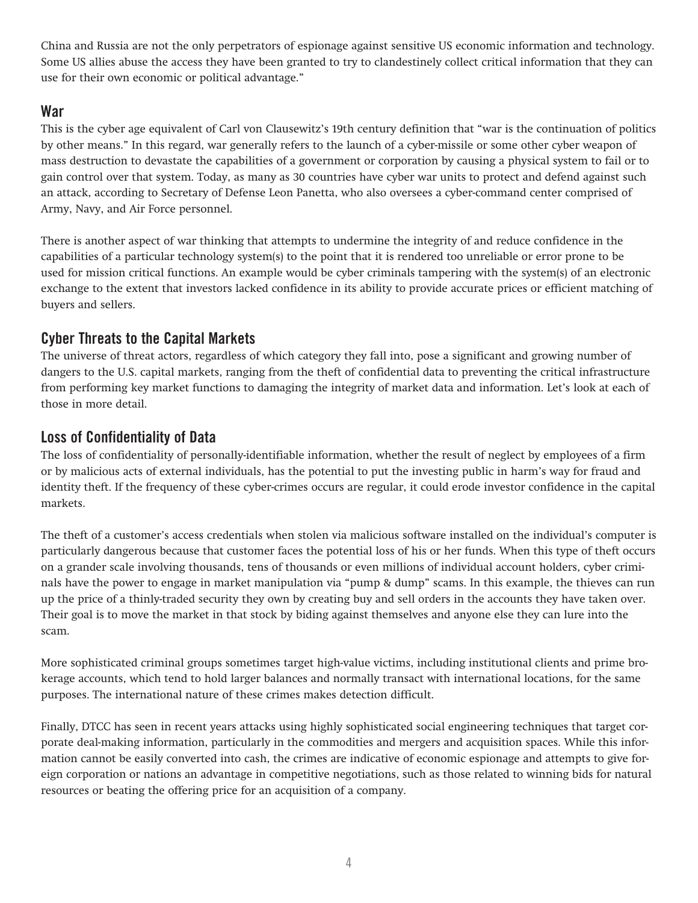China and Russia are not the only perpetrators of espionage against sensitive US economic information and technology. Some US allies abuse the access they have been granted to try to clandestinely collect critical information that they can use for their own economic or political advantage."

# **War**

This is the cyber age equivalent of Carl von Clausewitz's 19th century definition that "war is the continuation of politics by other means." In this regard, war generally refers to the launch of a cyber-missile or some other cyber weapon of mass destruction to devastate the capabilities of a government or corporation by causing a physical system to fail or to gain control over that system. Today, as many as 30 countries have cyber war units to protect and defend against such an attack, according to Secretary of Defense Leon Panetta, who also oversees a cyber-command center comprised of Army, Navy, and Air Force personnel.

There is another aspect of war thinking that attempts to undermine the integrity of and reduce confidence in the capabilities of a particular technology system(s) to the point that it is rendered too unreliable or error prone to be used for mission critical functions. An example would be cyber criminals tampering with the system(s) of an electronic exchange to the extent that investors lacked confidence in its ability to provide accurate prices or efficient matching of buyers and sellers.

# **Cyber Threats to the Capital Markets**

The universe of threat actors, regardless of which category they fall into, pose a significant and growing number of dangers to the U.S. capital markets, ranging from the theft of confidential data to preventing the critical infrastructure from performing key market functions to damaging the integrity of market data and information. Let's look at each of those in more detail.

# **Loss of Confidentiality of Data**

The loss of confidentiality of personally-identifiable information, whether the result of neglect by employees of a firm or by malicious acts of external individuals, has the potential to put the investing public in harm's way for fraud and identity theft. If the frequency of these cyber-crimes occurs are regular, it could erode investor confidence in the capital markets.

The theft of a customer's access credentials when stolen via malicious software installed on the individual's computer is particularly dangerous because that customer faces the potential loss of his or her funds. When this type of theft occurs on a grander scale involving thousands, tens of thousands or even millions of individual account holders, cyber criminals have the power to engage in market manipulation via "pump & dump" scams. In this example, the thieves can run up the price of a thinly-traded security they own by creating buy and sell orders in the accounts they have taken over. Their goal is to move the market in that stock by biding against themselves and anyone else they can lure into the scam.

More sophisticated criminal groups sometimes target high-value victims, including institutional clients and prime brokerage accounts, which tend to hold larger balances and normally transact with international locations, for the same purposes. The international nature of these crimes makes detection difficult.

Finally, DTCC has seen in recent years attacks using highly sophisticated social engineering techniques that target corporate deal-making information, particularly in the commodities and mergers and acquisition spaces. While this information cannot be easily converted into cash, the crimes are indicative of economic espionage and attempts to give foreign corporation or nations an advantage in competitive negotiations, such as those related to winning bids for natural resources or beating the offering price for an acquisition of a company.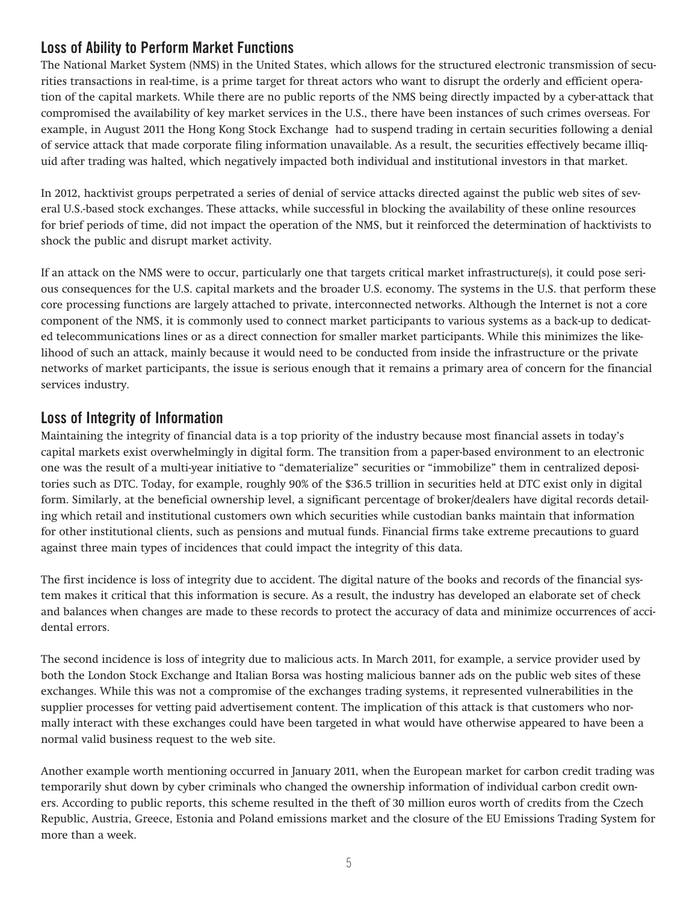# **Loss of Ability to Perform Market Functions**

The National Market System (NMS) in the United States, which allows for the structured electronic transmission of securities transactions in real-time, is a prime target for threat actors who want to disrupt the orderly and efficient operation of the capital markets. While there are no public reports of the NMS being directly impacted by a cyber-attack that compromised the availability of key market services in the U.S., there have been instances of such crimes overseas. For example, in August 2011 the Hong Kong Stock Exchange had to suspend trading in certain securities following a denial of service attack that made corporate filing information unavailable. As a result, the securities effectively became illiquid after trading was halted, which negatively impacted both individual and institutional investors in that market.

In 2012, hacktivist groups perpetrated a series of denial of service attacks directed against the public web sites of several U.S.-based stock exchanges. These attacks, while successful in blocking the availability of these online resources for brief periods of time, did not impact the operation of the NMS, but it reinforced the determination of hacktivists to shock the public and disrupt market activity.

If an attack on the NMS were to occur, particularly one that targets critical market infrastructure(s), it could pose serious consequences for the U.S. capital markets and the broader U.S. economy. The systems in the U.S. that perform these core processing functions are largely attached to private, interconnected networks. Although the Internet is not a core component of the NMS, it is commonly used to connect market participants to various systems as a back-up to dedicated telecommunications lines or as a direct connection for smaller market participants. While this minimizes the likelihood of such an attack, mainly because it would need to be conducted from inside the infrastructure or the private networks of market participants, the issue is serious enough that it remains a primary area of concern for the financial services industry.

# **Loss of Integrity of Information**

Maintaining the integrity of financial data is a top priority of the industry because most financial assets in today's capital markets exist overwhelmingly in digital form. The transition from a paper-based environment to an electronic one was the result of a multi-year initiative to "dematerialize" securities or "immobilize" them in centralized depositories such as DTC. Today, for example, roughly 90% of the \$36.5 trillion in securities held at DTC exist only in digital form. Similarly, at the beneficial ownership level, a significant percentage of broker/dealers have digital records detailing which retail and institutional customers own which securities while custodian banks maintain that information for other institutional clients, such as pensions and mutual funds. Financial firms take extreme precautions to guard against three main types of incidences that could impact the integrity of this data.

The first incidence is loss of integrity due to accident. The digital nature of the books and records of the financial system makes it critical that this information is secure. As a result, the industry has developed an elaborate set of check and balances when changes are made to these records to protect the accuracy of data and minimize occurrences of accidental errors.

The second incidence is loss of integrity due to malicious acts. In March 2011, for example, a service provider used by both the London Stock Exchange and Italian Borsa was hosting malicious banner ads on the public web sites of these exchanges. While this was not a compromise of the exchanges trading systems, it represented vulnerabilities in the supplier processes for vetting paid advertisement content. The implication of this attack is that customers who normally interact with these exchanges could have been targeted in what would have otherwise appeared to have been a normal valid business request to the web site.

Another example worth mentioning occurred in January 2011, when the European market for carbon credit trading was temporarily shut down by cyber criminals who changed the ownership information of individual carbon credit owners. According to public reports, this scheme resulted in the theft of 30 million euros worth of credits from the Czech Republic, Austria, Greece, Estonia and Poland emissions market and the closure of the EU Emissions Trading System for more than a week.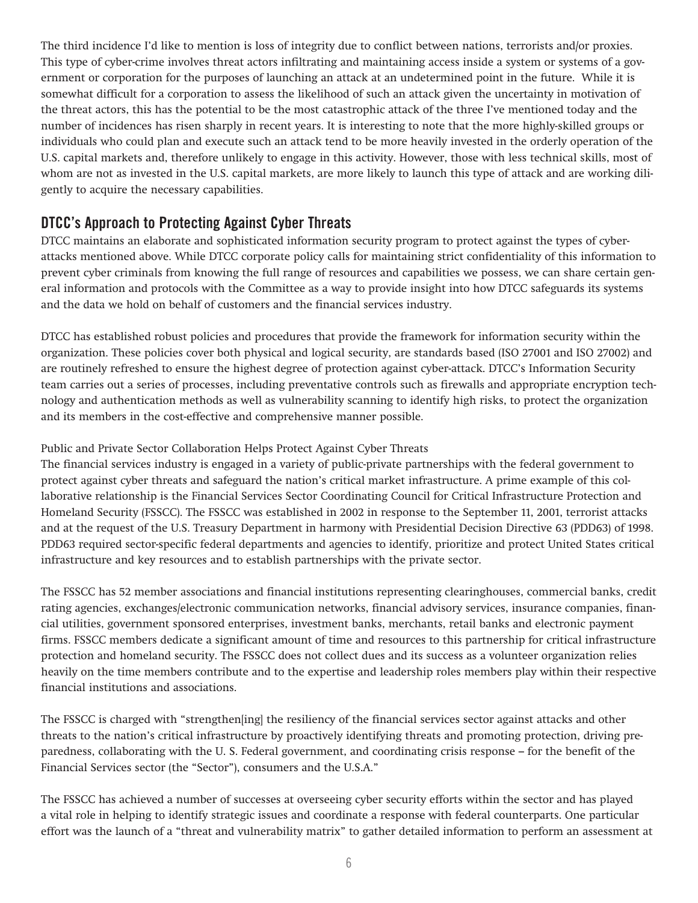The third incidence I'd like to mention is loss of integrity due to conflict between nations, terrorists and/or proxies. This type of cyber-crime involves threat actors infiltrating and maintaining access inside a system or systems of a government or corporation for the purposes of launching an attack at an undetermined point in the future. While it is somewhat difficult for a corporation to assess the likelihood of such an attack given the uncertainty in motivation of the threat actors, this has the potential to be the most catastrophic attack of the three I've mentioned today and the number of incidences has risen sharply in recent years. It is interesting to note that the more highly-skilled groups or individuals who could plan and execute such an attack tend to be more heavily invested in the orderly operation of the U.S. capital markets and, therefore unlikely to engage in this activity. However, those with less technical skills, most of whom are not as invested in the U.S. capital markets, are more likely to launch this type of attack and are working diligently to acquire the necessary capabilities.

## **DTCC's Approach to Protecting Against Cyber Threats**

DTCC maintains an elaborate and sophisticated information security program to protect against the types of cyberattacks mentioned above. While DTCC corporate policy calls for maintaining strict confidentiality of this information to prevent cyber criminals from knowing the full range of resources and capabilities we possess, we can share certain general information and protocols with the Committee as a way to provide insight into how DTCC safeguards its systems and the data we hold on behalf of customers and the financial services industry.

DTCC has established robust policies and procedures that provide the framework for information security within the organization. These policies cover both physical and logical security, are standards based (ISO 27001 and ISO 27002) and are routinely refreshed to ensure the highest degree of protection against cyber-attack. DTCC's Information Security team carries out a series of processes, including preventative controls such as firewalls and appropriate encryption technology and authentication methods as well as vulnerability scanning to identify high risks, to protect the organization and its members in the cost-effective and comprehensive manner possible.

#### Public and Private Sector Collaboration Helps Protect Against Cyber Threats

The financial services industry is engaged in a variety of public-private partnerships with the federal government to protect against cyber threats and safeguard the nation's critical market infrastructure. A prime example of this collaborative relationship is the Financial Services Sector Coordinating Council for Critical Infrastructure Protection and Homeland Security (FSSCC). The FSSCC was established in 2002 in response to the September 11, 2001, terrorist attacks and at the request of the U.S. Treasury Department in harmony with Presidential Decision Directive 63 (PDD63) of 1998. PDD63 required sector-specific federal departments and agencies to identify, prioritize and protect United States critical infrastructure and key resources and to establish partnerships with the private sector.

The FSSCC has 52 member associations and financial institutions representing clearinghouses, commercial banks, credit rating agencies, exchanges/electronic communication networks, financial advisory services, insurance companies, financial utilities, government sponsored enterprises, investment banks, merchants, retail banks and electronic payment firms. FSSCC members dedicate a significant amount of time and resources to this partnership for critical infrastructure protection and homeland security. The FSSCC does not collect dues and its success as a volunteer organization relies heavily on the time members contribute and to the expertise and leadership roles members play within their respective financial institutions and associations.

The FSSCC is charged with "strengthen[ing] the resiliency of the financial services sector against attacks and other threats to the nation's critical infrastructure by proactively identifying threats and promoting protection, driving preparedness, collaborating with the U. S. Federal government, and coordinating crisis response – for the benefit of the Financial Services sector (the "Sector"), consumers and the U.S.A."

The FSSCC has achieved a number of successes at overseeing cyber security efforts within the sector and has played a vital role in helping to identify strategic issues and coordinate a response with federal counterparts. One particular effort was the launch of a "threat and vulnerability matrix" to gather detailed information to perform an assessment at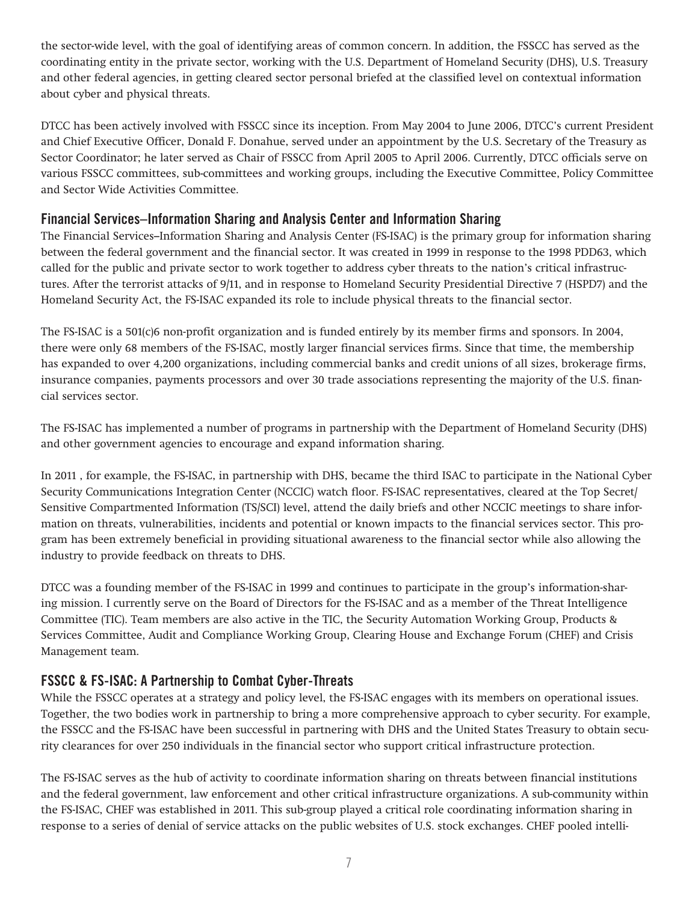the sector-wide level, with the goal of identifying areas of common concern. In addition, the FSSCC has served as the coordinating entity in the private sector, working with the U.S. Department of Homeland Security (DHS), U.S. Treasury and other federal agencies, in getting cleared sector personal briefed at the classified level on contextual information about cyber and physical threats.

DTCC has been actively involved with FSSCC since its inception. From May 2004 to June 2006, DTCC's current President and Chief Executive Officer, Donald F. Donahue, served under an appointment by the U.S. Secretary of the Treasury as Sector Coordinator; he later served as Chair of FSSCC from April 2005 to April 2006. Currently, DTCC officials serve on various FSSCC committees, sub-committees and working groups, including the Executive Committee, Policy Committee and Sector Wide Activities Committee.

#### **Financial Services–Information Sharing and Analysis Center and Information Sharing**

The Financial Services–Information Sharing and Analysis Center (FS-ISAC) is the primary group for information sharing between the federal government and the financial sector. It was created in 1999 in response to the 1998 PDD63, which called for the public and private sector to work together to address cyber threats to the nation's critical infrastructures. After the terrorist attacks of 9/11, and in response to Homeland Security Presidential Directive 7 (HSPD7) and the Homeland Security Act, the FS-ISAC expanded its role to include physical threats to the financial sector.

The FS-ISAC is a 501(c)6 non-profit organization and is funded entirely by its member firms and sponsors. In 2004, there were only 68 members of the FS-ISAC, mostly larger financial services firms. Since that time, the membership has expanded to over 4,200 organizations, including commercial banks and credit unions of all sizes, brokerage firms, insurance companies, payments processors and over 30 trade associations representing the majority of the U.S. financial services sector.

The FS-ISAC has implemented a number of programs in partnership with the Department of Homeland Security (DHS) and other government agencies to encourage and expand information sharing.

In 2011 , for example, the FS-ISAC, in partnership with DHS, became the third ISAC to participate in the National Cyber Security Communications Integration Center (NCCIC) watch floor. FS-ISAC representatives, cleared at the Top Secret/ Sensitive Compartmented Information (TS/SCI) level, attend the daily briefs and other NCCIC meetings to share information on threats, vulnerabilities, incidents and potential or known impacts to the financial services sector. This program has been extremely beneficial in providing situational awareness to the financial sector while also allowing the industry to provide feedback on threats to DHS.

DTCC was a founding member of the FS-ISAC in 1999 and continues to participate in the group's information-sharing mission. I currently serve on the Board of Directors for the FS-ISAC and as a member of the Threat Intelligence Committee (TIC). Team members are also active in the TIC, the Security Automation Working Group, Products & Services Committee, Audit and Compliance Working Group, Clearing House and Exchange Forum (CHEF) and Crisis Management team.

## **FSSCC & FS-ISAC: A Partnership to Combat Cyber-Threats**

While the FSSCC operates at a strategy and policy level, the FS-ISAC engages with its members on operational issues. Together, the two bodies work in partnership to bring a more comprehensive approach to cyber security. For example, the FSSCC and the FS-ISAC have been successful in partnering with DHS and the United States Treasury to obtain security clearances for over 250 individuals in the financial sector who support critical infrastructure protection.

The FS-ISAC serves as the hub of activity to coordinate information sharing on threats between financial institutions and the federal government, law enforcement and other critical infrastructure organizations. A sub-community within the FS-ISAC, CHEF was established in 2011. This sub-group played a critical role coordinating information sharing in response to a series of denial of service attacks on the public websites of U.S. stock exchanges. CHEF pooled intelli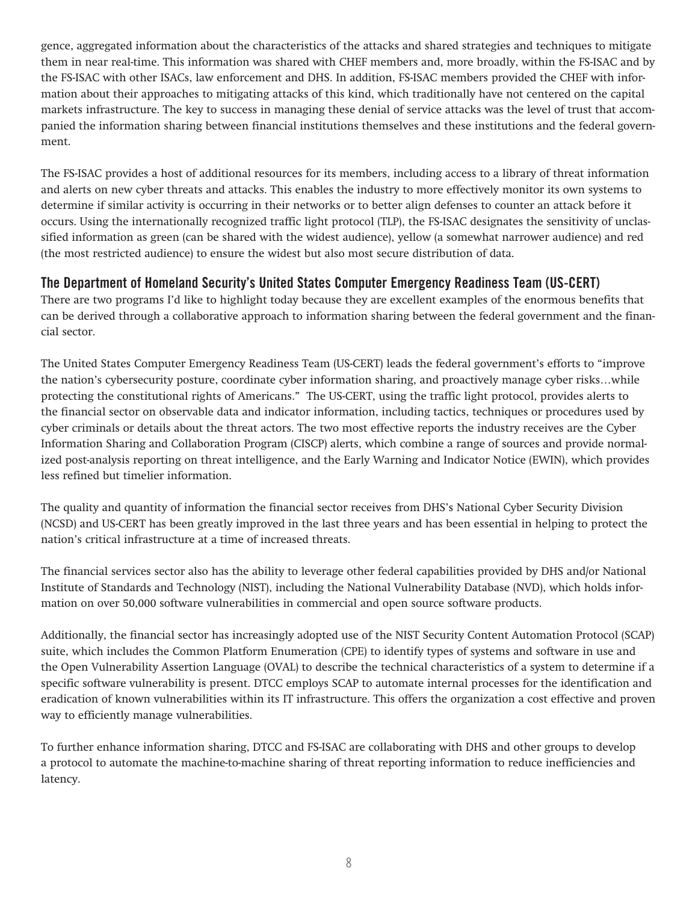gence, aggregated information about the characteristics of the attacks and shared strategies and techniques to mitigate them in near real-time. This information was shared with CHEF members and, more broadly, within the FS-ISAC and by the FS-ISAC with other ISACs, law enforcement and DHS. In addition, FS-ISAC members provided the CHEF with information about their approaches to mitigating attacks of this kind, which traditionally have not centered on the capital markets infrastructure. The key to success in managing these denial of service attacks was the level of trust that accompanied the information sharing between financial institutions themselves and these institutions and the federal government.

The FS-ISAC provides a host of additional resources for its members, including access to a library of threat information and alerts on new cyber threats and attacks. This enables the industry to more effectively monitor its own systems to determine if similar activity is occurring in their networks or to better align defenses to counter an attack before it occurs. Using the internationally recognized traffic light protocol (TLP), the FS-ISAC designates the sensitivity of unclassified information as green (can be shared with the widest audience), yellow (a somewhat narrower audience) and red (the most restricted audience) to ensure the widest but also most secure distribution of data.

#### **The Department of Homeland Security's United States Computer Emergency Readiness Team (US-CERT)**

There are two programs I'd like to highlight today because they are excellent examples of the enormous benefits that can be derived through a collaborative approach to information sharing between the federal government and the financial sector.

The United States Computer Emergency Readiness Team (US-CERT) leads the federal government's efforts to "improve the nation's cybersecurity posture, coordinate cyber information sharing, and proactively manage cyber risks…while protecting the constitutional rights of Americans." The US-CERT, using the traffic light protocol, provides alerts to the financial sector on observable data and indicator information, including tactics, techniques or procedures used by cyber criminals or details about the threat actors. The two most effective reports the industry receives are the Cyber Information Sharing and Collaboration Program (CISCP) alerts, which combine a range of sources and provide normalized post-analysis reporting on threat intelligence, and the Early Warning and Indicator Notice (EWIN), which provides less refined but timelier information.

The quality and quantity of information the financial sector receives from DHS's National Cyber Security Division (NCSD) and US-CERT has been greatly improved in the last three years and has been essential in helping to protect the nation's critical infrastructure at a time of increased threats.

The financial services sector also has the ability to leverage other federal capabilities provided by DHS and/or National Institute of Standards and Technology (NIST), including the National Vulnerability Database (NVD), which holds information on over 50,000 software vulnerabilities in commercial and open source software products.

Additionally, the financial sector has increasingly adopted use of the NIST Security Content Automation Protocol (SCAP) suite, which includes the Common Platform Enumeration (CPE) to identify types of systems and software in use and the Open Vulnerability Assertion Language (OVAL) to describe the technical characteristics of a system to determine if a specific software vulnerability is present. DTCC employs SCAP to automate internal processes for the identification and eradication of known vulnerabilities within its IT infrastructure. This offers the organization a cost effective and proven way to efficiently manage vulnerabilities.

To further enhance information sharing, DTCC and FS-ISAC are collaborating with DHS and other groups to develop a protocol to automate the machine-to-machine sharing of threat reporting information to reduce inefficiencies and latency.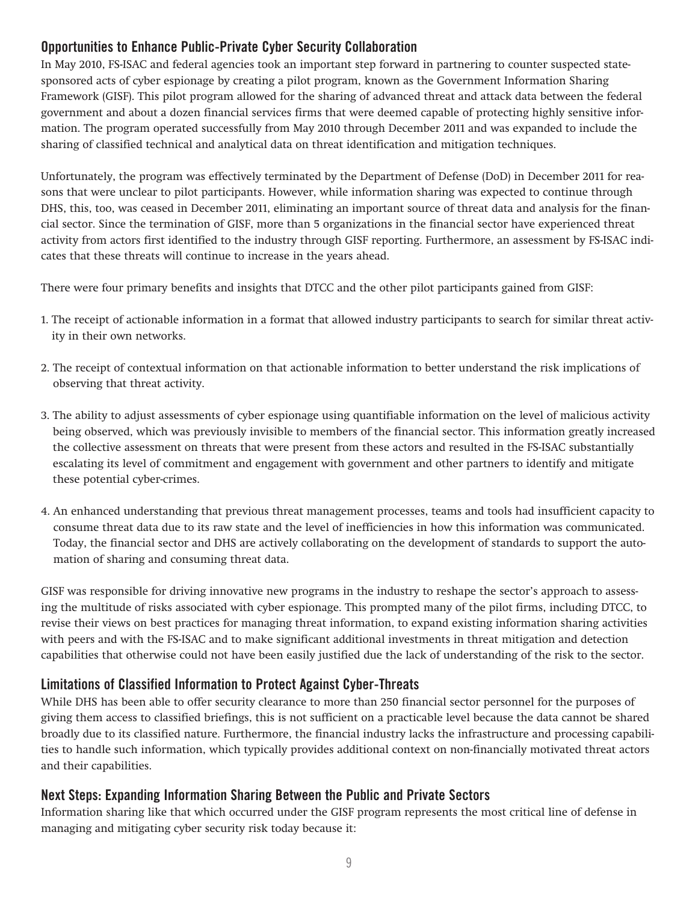# **Opportunities to Enhance Public-Private Cyber Security Collaboration**

In May 2010, FS-ISAC and federal agencies took an important step forward in partnering to counter suspected statesponsored acts of cyber espionage by creating a pilot program, known as the Government Information Sharing Framework (GISF). This pilot program allowed for the sharing of advanced threat and attack data between the federal government and about a dozen financial services firms that were deemed capable of protecting highly sensitive information. The program operated successfully from May 2010 through December 2011 and was expanded to include the sharing of classified technical and analytical data on threat identification and mitigation techniques.

Unfortunately, the program was effectively terminated by the Department of Defense (DoD) in December 2011 for reasons that were unclear to pilot participants. However, while information sharing was expected to continue through DHS, this, too, was ceased in December 2011, eliminating an important source of threat data and analysis for the financial sector. Since the termination of GISF, more than 5 organizations in the financial sector have experienced threat activity from actors first identified to the industry through GISF reporting. Furthermore, an assessment by FS-ISAC indicates that these threats will continue to increase in the years ahead.

There were four primary benefits and insights that DTCC and the other pilot participants gained from GISF:

- 1. The receipt of actionable information in a format that allowed industry participants to search for similar threat activity in their own networks.
- 2. The receipt of contextual information on that actionable information to better understand the risk implications of observing that threat activity.
- 3. The ability to adjust assessments of cyber espionage using quantifiable information on the level of malicious activity being observed, which was previously invisible to members of the financial sector. This information greatly increased the collective assessment on threats that were present from these actors and resulted in the FS-ISAC substantially escalating its level of commitment and engagement with government and other partners to identify and mitigate these potential cyber-crimes.
- 4. An enhanced understanding that previous threat management processes, teams and tools had insufficient capacity to consume threat data due to its raw state and the level of inefficiencies in how this information was communicated. Today, the financial sector and DHS are actively collaborating on the development of standards to support the automation of sharing and consuming threat data.

GISF was responsible for driving innovative new programs in the industry to reshape the sector's approach to assessing the multitude of risks associated with cyber espionage. This prompted many of the pilot firms, including DTCC, to revise their views on best practices for managing threat information, to expand existing information sharing activities with peers and with the FS-ISAC and to make significant additional investments in threat mitigation and detection capabilities that otherwise could not have been easily justified due the lack of understanding of the risk to the sector.

## **Limitations of Classified Information to Protect Against Cyber-Threats**

While DHS has been able to offer security clearance to more than 250 financial sector personnel for the purposes of giving them access to classified briefings, this is not sufficient on a practicable level because the data cannot be shared broadly due to its classified nature. Furthermore, the financial industry lacks the infrastructure and processing capabilities to handle such information, which typically provides additional context on non-financially motivated threat actors and their capabilities.

## **Next Steps: Expanding Information Sharing Between the Public and Private Sectors**

Information sharing like that which occurred under the GISF program represents the most critical line of defense in managing and mitigating cyber security risk today because it: